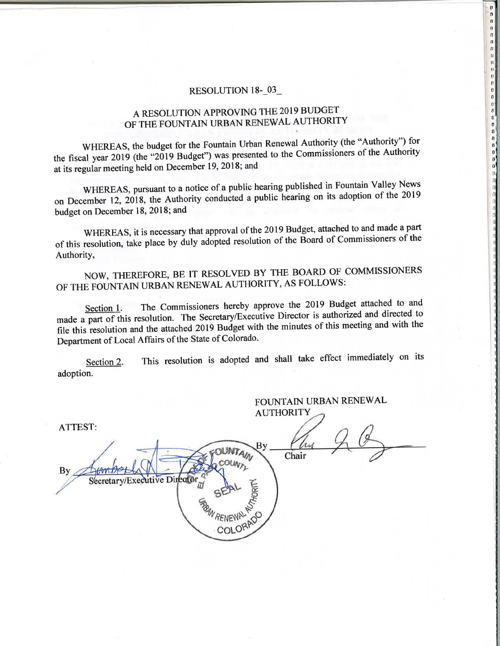#### RESOLUTION 18-03

0000000000000000000

 $\begin{bmatrix} 0 \\ 0 \\ 0 \\ 0 \end{bmatrix}$ 

a<br>a

# A RESOLUTION APPROVING THE 2019 BUDGET OF THE FOUNTAIN URBAN RENEWAL AUTHORITY

WHEREAS, the budget for the Fountain Urban Renewal Authority (the "Authority") for the fiscal year 2019 (the "2019 Budget") was presented to the Commissioners of the Authority at its regular meeting held on December 19, 2018; and

WHEREAS, pursuant to a notice of a public hearing published in Fountain Valley News on December 12, 2018, the Authority conducted a public hearing on its adoption of the 2019 budget on December 18, 2018; and

WHEREAS, it is necessary that approval of the 2019 Budget, attached to and made a part of this resolution, take place by duly adopted resolution of the Board of Commissioners of the Authority,

NOW, THEREFORE, BE IT RESOLVED BY THE BOARD OF COMMISSIONERS OF THE FOUNTAIN URBAN RENEWAL AUTHORITY, AS FOLLOWS:

The Commissioners hereby approve the 2019 Budget attached to and Section 1. made a part of this resolution. The Secretary/Executive Director is authorized and directed to file this resolution and the attached 2019 Budget with the minutes of this meeting and with the Department of Local Affairs of the State of Colorado.

This resolution is adopted and shall take effect immediately on its Section 2. adoption.

|                                                       | FOUNTAIN URBAN RENEWAL<br><b>AUTHORITY</b> |
|-------------------------------------------------------|--------------------------------------------|
| ATTEST:                                               |                                            |
| <b>By</b><br>Secretary/Executive Director<br>COLORADO | By<br>ιv<br>Chair                          |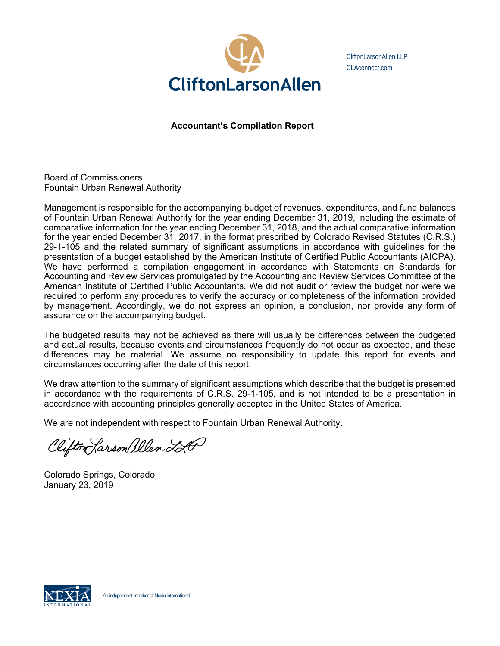

CliftonLarsonAllen LLP CLAconnect.com

**Accountant's Compilation Report** 

Board of Commissioners Fountain Urban Renewal Authority

Management is responsible for the accompanying budget of revenues, expenditures, and fund balances of Fountain Urban Renewal Authority for the year ending December 31, 2019, including the estimate of comparative information for the year ending December 31, 2018, and the actual comparative information for the year ended December 31, 2017, in the format prescribed by Colorado Revised Statutes (C.R.S.) 29-1-105 and the related summary of significant assumptions in accordance with guidelines for the presentation of a budget established by the American Institute of Certified Public Accountants (AICPA). We have performed a compilation engagement in accordance with Statements on Standards for Accounting and Review Services promulgated by the Accounting and Review Services Committee of the American Institute of Certified Public Accountants. We did not audit or review the budget nor were we required to perform any procedures to verify the accuracy or completeness of the information provided by management. Accordingly, we do not express an opinion, a conclusion, nor provide any form of assurance on the accompanying budget.

The budgeted results may not be achieved as there will usually be differences between the budgeted and actual results, because events and circumstances frequently do not occur as expected, and these differences may be material. We assume no responsibility to update this report for events and circumstances occurring after the date of this report.

We draw attention to the summary of significant assumptions which describe that the budget is presented in accordance with the requirements of C.R.S. 29-1-105, and is not intended to be a presentation in accordance with accounting principles generally accepted in the United States of America.

We are not independent with respect to Fountain Urban Renewal Authority.

Clifton Larson allen 220

Colorado Springs, Colorado January 23, 2019

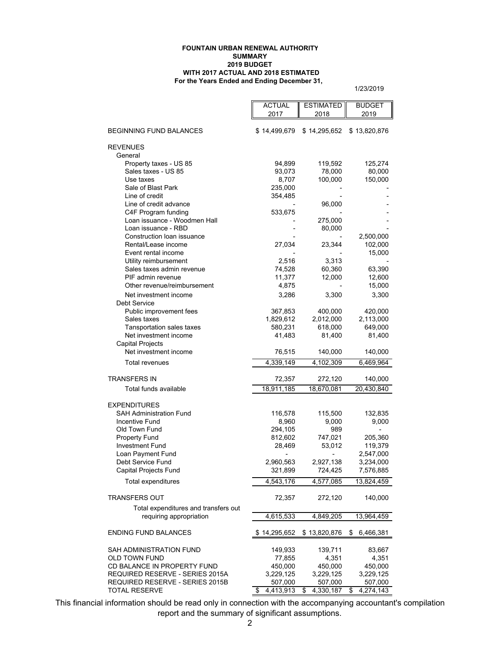#### **For the Years Ended and Ending December 31, FOUNTAIN URBAN RENEWAL AUTHORITY SUMMARY 2019 BUDGET WITH 2017 ACTUAL AND 2018 ESTIMATED**

1/23/2019

|                                                                | <b>ACTUAL</b>        | <b>ESTIMATED</b>     | <b>BUDGET</b>        |
|----------------------------------------------------------------|----------------------|----------------------|----------------------|
|                                                                | 2017                 | 2018                 | 2019                 |
|                                                                |                      |                      |                      |
| <b>BEGINNING FUND BALANCES</b>                                 | \$14,499,679         | \$14,295,652         | \$13,820,876         |
|                                                                |                      |                      |                      |
| <b>REVENUES</b>                                                |                      |                      |                      |
| General                                                        | 94,899               |                      |                      |
| Property taxes - US 85<br>Sales taxes - US 85                  | 93,073               | 119,592<br>78,000    | 125,274              |
| Use taxes                                                      | 8,707                | 100,000              | 80,000<br>150,000    |
| Sale of Blast Park                                             | 235,000              |                      |                      |
| Line of credit                                                 | 354,485              |                      |                      |
| Line of credit advance                                         |                      | 96,000               |                      |
| C4F Program funding                                            | 533,675              |                      |                      |
| Loan issuance - Woodmen Hall                                   |                      | 275,000              |                      |
| Loan issuance - RBD                                            |                      | 80,000               |                      |
| Construction loan issuance                                     |                      |                      | 2,500,000            |
| Rental/Lease income                                            | 27,034               | 23,344               | 102,000              |
| Event rental income                                            |                      |                      | 15,000               |
| Utility reimbursement                                          | 2,516                | 3,313                |                      |
| Sales taxes admin revenue                                      | 74,528               | 60,360               | 63,390               |
| PIF admin revenue                                              | 11,377               | 12,000               | 12,600               |
| Other revenue/reimbursement                                    | 4,875                |                      | 15,000               |
| Net investment income                                          | 3,286                | 3,300                | 3,300                |
| Debt Service                                                   |                      |                      |                      |
| Public improvement fees                                        | 367,853              | 400,000              | 420,000              |
| Sales taxes                                                    | 1,829,612            | 2,012,000            | 2,113,000            |
| <b>Tansportation sales taxes</b>                               | 580,231              | 618,000              | 649,000              |
| Net investment income                                          | 41,483               | 81,400               | 81,400               |
| <b>Capital Projects</b>                                        |                      |                      |                      |
| Net investment income                                          | 76,515               | 140,000              | 140,000              |
| Total revenues                                                 | 4,339,149            | 4,102,309            | 6,469,964            |
| <b>TRANSFERS IN</b>                                            | 72,357               | 272,120              | 140,000              |
| Total funds available                                          | 18,911,185           | 18,670,081           | 20,430,840           |
|                                                                |                      |                      |                      |
| <b>EXPENDITURES</b>                                            |                      |                      |                      |
| <b>SAH Administration Fund</b>                                 | 116,578              | 115,500              | 132,835              |
| Incentive Fund                                                 | 8,960                | 9,000                | 9,000                |
| Old Town Fund                                                  | 294,105              | 989                  |                      |
| Property Fund                                                  | 812,602              | 747,021              | 205,360              |
| <b>Investment Fund</b>                                         | 28,469               | 53,012               | 119,379              |
| Loan Payment Fund                                              | $\overline{a}$       |                      | 2,547,000            |
| Debt Service Fund                                              | 2,960,563            | 2,927,138            | 3,234,000            |
| Capital Projects Fund                                          | 321,899              | 724,425              | 7,576,885            |
| <b>Total expenditures</b>                                      | 4.543.176            | 4,577,085            | 13,824,459           |
| <b>TRANSFERS OUT</b>                                           | 72,357               | 272,120              | 140,000              |
|                                                                |                      |                      |                      |
| Total expenditures and transfers out                           |                      |                      |                      |
| requiring appropriation                                        | 4,615,533            | 4,849,205            | 13,964,459           |
| <b>ENDING FUND BALANCES</b>                                    | \$14,295,652         | \$13,820,876         | \$<br>6,466,381      |
|                                                                |                      |                      |                      |
| SAH ADMINISTRATION FUND                                        | 149,933              | 139,711              | 83,667               |
| OLD TOWN FUND                                                  | 77,855               | 4,351                | 4,351                |
| CD BALANCE IN PROPERTY FUND<br>REQUIRED RESERVE - SERIES 2015A | 450,000              | 450,000              | 450,000              |
| REQUIRED RESERVE - SERIES 2015B                                | 3,229,125<br>507,000 | 3,229,125<br>507,000 | 3,229,125<br>507,000 |
| <b>TOTAL RESERVE</b>                                           | 4,413,913<br>\$      | \$<br>4,330,187      | 4,274,143<br>\$      |
|                                                                |                      |                      |                      |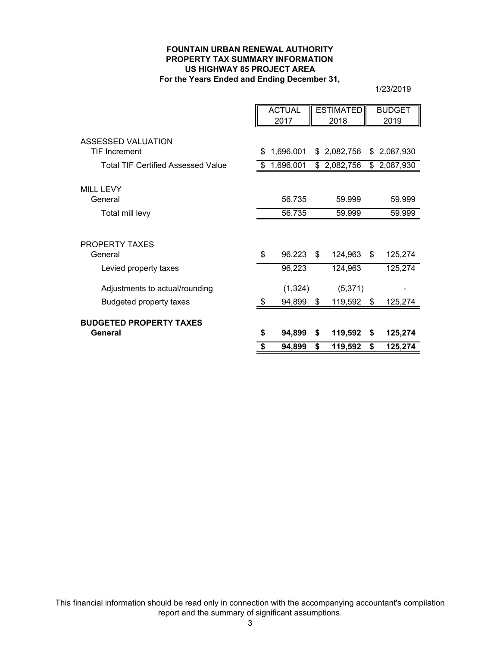#### **FOUNTAIN URBAN RENEWAL AUTHORITY PROPERTY TAX SUMMARY INFORMATION For the Years Ended and Ending December 31, US HIGHWAY 85 PROJECT AREA**

1/23/2019

|                                           |    | <b>ACTUAL</b> | <b>ESTIMATED</b> | <b>BUDGET</b>   |
|-------------------------------------------|----|---------------|------------------|-----------------|
|                                           |    | 2017          | 2018             | 2019            |
|                                           |    |               |                  |                 |
| ASSESSED VALUATION                        |    |               |                  |                 |
| <b>TIF Increment</b>                      | S  | 1,696,001     | \$2,082,756      | \$2,087,930     |
| <b>Total TIF Certified Assessed Value</b> | \$ | 1,696,001     | \$2,082,756      | \$<br>2,087,930 |
|                                           |    |               |                  |                 |
| <b>MILL LEVY</b>                          |    |               |                  |                 |
| General                                   |    | 56.735        | 59.999           | 59.999          |
| Total mill levy                           |    | 56.735        | 59.999           | 59.999          |
|                                           |    |               |                  |                 |
| PROPERTY TAXES                            |    |               |                  |                 |
| General                                   | \$ | 96,223        | \$<br>124,963    | \$<br>125,274   |
| Levied property taxes                     |    | 96,223        | 124,963          | 125,274         |
| Adjustments to actual/rounding            |    | (1, 324)      | (5,371)          |                 |
| <b>Budgeted property taxes</b>            | \$ | 94,899        | \$<br>119,592    | \$<br>125,274   |
|                                           |    |               |                  |                 |
| <b>BUDGETED PROPERTY TAXES</b>            |    |               |                  |                 |
| General                                   | \$ | 94,899        | \$<br>119,592    | \$<br>125,274   |
|                                           | \$ | 94,899        | \$<br>119,592    | \$<br>125,274   |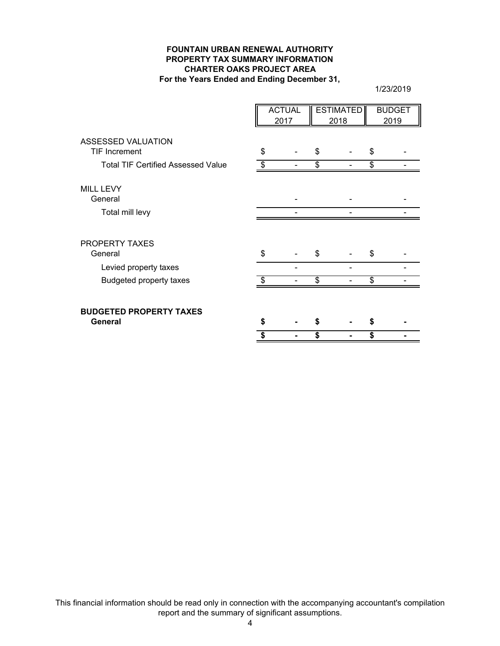#### **FOUNTAIN URBAN RENEWAL AUTHORITY PROPERTY TAX SUMMARY INFORMATION CHARTER OAKS PROJECT AREA For the Years Ended and Ending December 31,**

1/23/2019

|                                           |    | <b>ACTUAL</b> | <b>ESTIMATED</b> | <b>BUDGET</b> |
|-------------------------------------------|----|---------------|------------------|---------------|
|                                           |    | 2017          | 2018             | 2019          |
| ASSESSED VALUATION                        |    |               |                  |               |
| <b>TIF Increment</b>                      | \$ |               | \$               | \$            |
| <b>Total TIF Certified Assessed Value</b> | \$ |               | \$               | \$            |
| <b>MILL LEVY</b>                          |    |               |                  |               |
| General                                   |    |               |                  |               |
| Total mill levy                           |    |               |                  |               |
| PROPERTY TAXES                            |    |               |                  |               |
| General                                   | \$ |               | \$               | \$            |
| Levied property taxes                     |    |               |                  |               |
| Budgeted property taxes                   |    |               | \$               | \$            |
| <b>BUDGETED PROPERTY TAXES</b>            |    |               |                  |               |
| General                                   | S  |               |                  |               |
|                                           |    |               | \$               | \$            |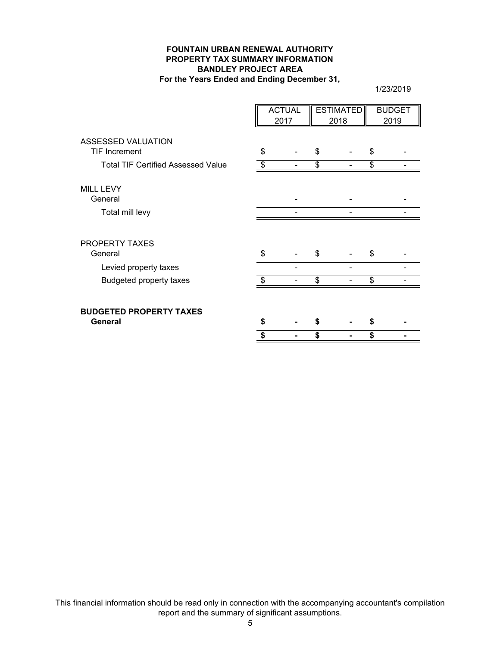#### **FOUNTAIN URBAN RENEWAL AUTHORITY PROPERTY TAX SUMMARY INFORMATION BANDLEY PROJECT AREA For the Years Ended and Ending December 31,**

1/23/2019

|                                            |    | <b>ACTUAL</b><br>2017 | <b>ESTIMATED</b><br>2018 | <b>BUDGET</b><br>2019 |
|--------------------------------------------|----|-----------------------|--------------------------|-----------------------|
| ASSESSED VALUATION<br><b>TIF Increment</b> | \$ |                       | \$                       | \$                    |
| <b>Total TIF Certified Assessed Value</b>  | \$ |                       | \$                       | \$                    |
| <b>MILL LEVY</b><br>General                |    |                       |                          |                       |
| Total mill levy                            |    |                       |                          |                       |
| PROPERTY TAXES<br>General                  | \$ |                       | \$                       | \$                    |
| Levied property taxes                      |    |                       |                          |                       |
| Budgeted property taxes                    |    |                       | \$                       | \$                    |
| <b>BUDGETED PROPERTY TAXES</b><br>General  | S  |                       |                          |                       |
|                                            | S  |                       | \$                       | \$                    |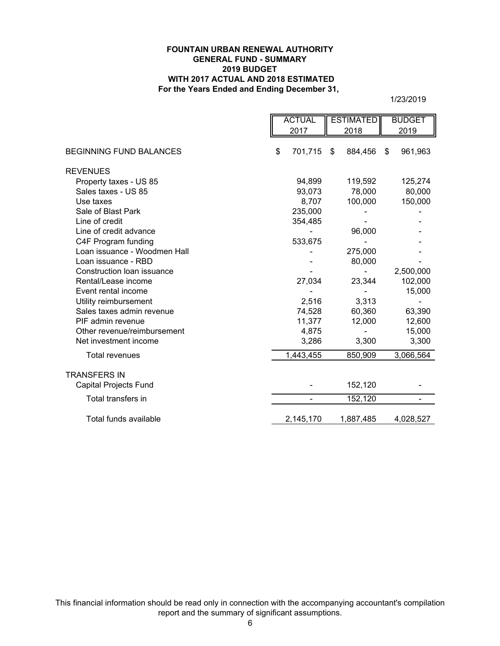#### **For the Years Ended and Ending December 31, FOUNTAIN URBAN RENEWAL AUTHORITY GENERAL FUND - SUMMARY 2019 BUDGET WITH 2017 ACTUAL AND 2018 ESTIMATED**

1/23/2019

|                                | <b>ACTUAL</b> | <b>ESTIMATED</b> | <b>BUDGET</b> |
|--------------------------------|---------------|------------------|---------------|
|                                | 2017          | 2018             | 2019          |
| <b>BEGINNING FUND BALANCES</b> | \$<br>701,715 | \$<br>884,456    | 961,963<br>\$ |
| <b>REVENUES</b>                |               |                  |               |
| Property taxes - US 85         | 94,899        | 119,592          | 125,274       |
| Sales taxes - US 85            | 93,073        | 78,000           | 80,000        |
| Use taxes                      | 8,707         | 100,000          | 150,000       |
| Sale of Blast Park             | 235,000       |                  |               |
| Line of credit                 | 354,485       |                  |               |
| Line of credit advance         |               | 96,000           |               |
| C4F Program funding            | 533,675       |                  |               |
| Loan issuance - Woodmen Hall   |               | 275,000          |               |
| Loan issuance - RBD            |               | 80,000           |               |
| Construction loan issuance     |               |                  | 2,500,000     |
| Rental/Lease income            | 27,034        | 23,344           | 102,000       |
| Event rental income            |               |                  | 15,000        |
| Utility reimbursement          | 2,516         | 3,313            |               |
| Sales taxes admin revenue      | 74,528        | 60,360           | 63,390        |
| PIF admin revenue              | 11,377        | 12,000           | 12,600        |
| Other revenue/reimbursement    | 4,875         |                  | 15,000        |
| Net investment income          | 3,286         | 3,300            | 3,300         |
| <b>Total revenues</b>          | 1,443,455     | 850,909          | 3,066,564     |
| <b>TRANSFERS IN</b>            |               |                  |               |
| <b>Capital Projects Fund</b>   |               | 152,120          |               |
| Total transfers in             |               | 152,120          |               |
| Total funds available          | 2,145,170     | 1,887,485        | 4,028,527     |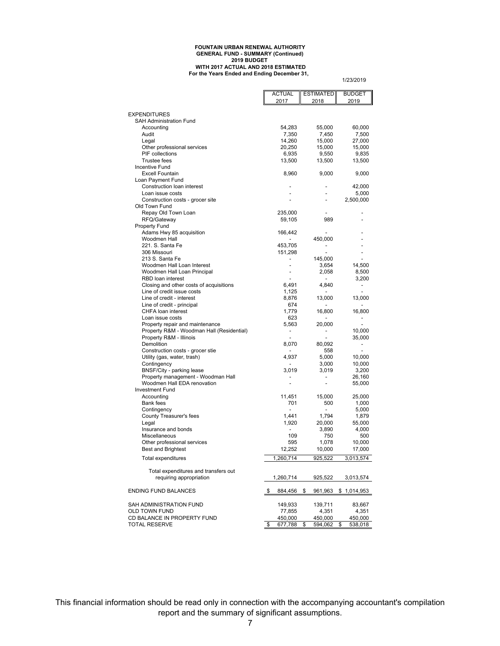#### **FOUNTAIN URBAN RENEWAL AUTHORITY GENERAL FUND - SUMMARY (Continued) 2019 BUDGET WITH 2017 ACTUAL AND 2018 ESTIMATED For the Years Ended and Ending December 31,**

1/23/2019

|                                                                 | <b>ACTUAL</b>                       | <b>ESTIMATED</b>             | <b>BUDGET</b> |
|-----------------------------------------------------------------|-------------------------------------|------------------------------|---------------|
|                                                                 | 2017                                | 2018                         | 2019          |
| <b>EXPENDITURES</b>                                             |                                     |                              |               |
| SAH Administration Fund                                         |                                     |                              |               |
| Accounting                                                      | 54,283                              | 55,000                       | 60,000        |
| Audit                                                           | 7,350                               | 7,450                        | 7,500         |
| Legal                                                           | 14,260                              | 15,000                       | 27,000        |
| Other professional services                                     | 20,250                              | 15,000                       | 15,000        |
| PIF collections                                                 | 6,935                               | 9,550                        | 9,835         |
| <b>Trustee fees</b><br>Incentive Fund                           | 13,500                              | 13,500                       | 13,500        |
| <b>Excell Fountain</b>                                          | 8,960                               | 9,000                        | 9,000         |
| Loan Payment Fund                                               |                                     |                              |               |
| Construction loan interest                                      |                                     |                              | 42,000        |
| Loan issue costs                                                |                                     |                              | 5,000         |
| Construction costs - grocer site                                |                                     | $\overline{\phantom{a}}$     | 2,500,000     |
| Old Town Fund                                                   |                                     |                              |               |
| Repay Old Town Loan                                             | 235,000                             |                              |               |
| RFQ/Gateway                                                     | 59,105                              | 989                          |               |
| <b>Property Fund</b>                                            |                                     |                              |               |
| Adams Hwy 85 acquisition<br>Woodmen Hall                        | 166,442<br>$\overline{\phantom{a}}$ | 450,000                      |               |
| 221. S. Santa Fe                                                | 453,705                             | $\qquad \qquad \blacksquare$ |               |
| 306 Missouri                                                    | 151,298                             | $\overline{a}$               |               |
| 213 S. Santa Fe                                                 | $\overline{\phantom{a}}$            | 145,000                      |               |
| Woodmen Hall Loan Interest                                      |                                     | 3,654                        | 14,500        |
| Woodmen Hall Loan Principal                                     | $\overline{a}$                      | 2,058                        | 8,500         |
| RBD loan interest                                               |                                     | $\overline{\phantom{a}}$     | 3,200         |
| Closing and other costs of acquisitions                         | 6,491                               | 4,840                        | -             |
| Line of credit issue costs                                      | 1,125                               |                              |               |
| Line of credit - interest                                       | 8,876                               | 13,000                       | 13,000        |
| Line of credit - principal                                      | 674                                 |                              |               |
| CHFA loan interest<br>Loan issue costs                          | 1.779<br>623                        | 16,800                       | 16,800        |
| Property repair and maintenance                                 | 5,563                               | 20,000                       |               |
| Property R&M - Woodman Hall (Residential)                       |                                     |                              | 10,000        |
| Property R&M - Illinois                                         |                                     |                              | 35,000        |
| Demolition                                                      | 8,070                               | 80,092                       | -             |
| Construction costs - grocer stie                                |                                     | 558                          |               |
| Utility (gas, water, trash)                                     | 4,937                               | 5,000                        | 10,000        |
| Contingency                                                     | $\overline{a}$                      | 3,000                        | 10,000        |
| BNSF/City - parking lease                                       | 3,019                               | 3,019                        | 3,200         |
| Property management - Woodman Hall                              |                                     |                              | 26,160        |
| Woodmen Hall EDA renovation<br><b>Investment Fund</b>           |                                     | ÷                            | 55,000        |
| Accounting                                                      | 11,451                              | 15,000                       | 25,000        |
| <b>Bank fees</b>                                                | 701                                 | 500                          | 1,000         |
| Contingency                                                     |                                     | $\overline{\phantom{a}}$     | 5,000         |
| County Treasurer's fees                                         | 1,441                               | 1,794                        | 1,879         |
| Legal                                                           | 1,920                               | 20,000                       | 55,000        |
| Insurance and bonds                                             | $\overline{\phantom{a}}$            | 3,890                        | 4,000         |
| Miscellaneous                                                   | 109                                 | 750                          | 500           |
| Other professional services                                     | 595                                 | 1,078                        | 10,000        |
| <b>Best and Brightest</b>                                       | 12,252                              | 10,000                       | 17,000        |
| Total expenditures                                              | 1,260,714                           | 925,522                      | 3,013,574     |
|                                                                 |                                     |                              |               |
| Total expenditures and transfers out<br>requiring appropriation | 1,260,714                           |                              |               |
|                                                                 |                                     | 925,522                      | 3,013,574     |
| <b>ENDING FUND BALANCES</b>                                     | \$<br>884,456                       | \$<br>961,963                | \$1,014,953   |
|                                                                 |                                     |                              |               |
| SAH ADMINISTRATION FUND                                         | 149,933                             | 139,711                      | 83,667        |
| OLD TOWN FUND                                                   | 77,855                              | 4,351                        | 4,351         |
| CD BALANCE IN PROPERTY FUND                                     | 450,000                             | 450,000                      | 450,000       |
| <b>TOTAL RESERVE</b>                                            | \$<br>677,788                       | 594,062<br>\$                | 538,018<br>\$ |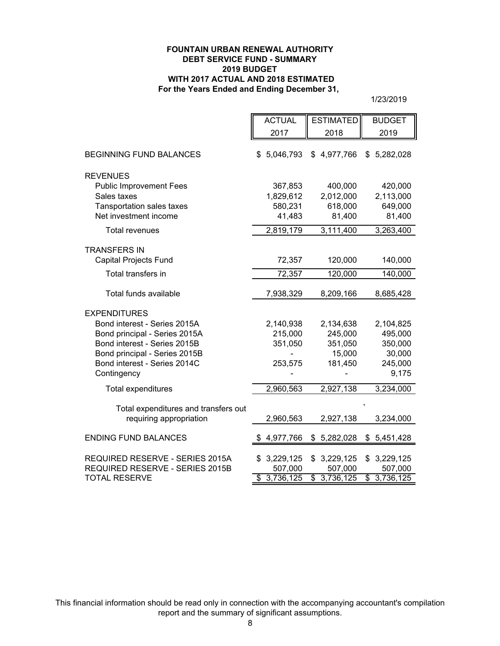#### **FOUNTAIN URBAN RENEWAL AUTHORITY DEBT SERVICE FUND - SUMMARY 2019 BUDGET WITH 2017 ACTUAL AND 2018 ESTIMATED For the Years Ended and Ending December 31,**

1/23/2019

|                                                                 | <b>ACTUAL</b>   | <b>ESTIMATED</b> | <b>BUDGET</b>          |
|-----------------------------------------------------------------|-----------------|------------------|------------------------|
|                                                                 | 2017            | 2018             | 2019                   |
| <b>BEGINNING FUND BALANCES</b>                                  | \$5,046,793     | \$4,977,766      | 5,282,028<br>\$        |
| <b>REVENUES</b>                                                 |                 |                  |                        |
| <b>Public Improvement Fees</b>                                  | 367,853         | 400,000          | 420,000                |
| Sales taxes                                                     | 1,829,612       | 2,012,000        | 2,113,000              |
| <b>Tansportation sales taxes</b>                                | 580,231         | 618,000          | 649,000                |
| Net investment income                                           | 41,483          | 81,400           | 81,400                 |
| <b>Total revenues</b>                                           | 2,819,179       | 3,111,400        | 3,263,400              |
| <b>TRANSFERS IN</b>                                             |                 |                  |                        |
| <b>Capital Projects Fund</b>                                    | 72,357          | 120,000          | 140,000                |
| Total transfers in                                              | 72,357          | 120,000          | 140,000                |
| Total funds available                                           | 7,938,329       | 8,209,166        | 8,685,428              |
| <b>EXPENDITURES</b>                                             |                 |                  |                        |
| Bond interest - Series 2015A                                    | 2,140,938       | 2,134,638        | 2,104,825              |
| Bond principal - Series 2015A                                   | 215,000         | 245,000          | 495,000                |
| Bond interest - Series 2015B                                    | 351,050         | 351,050          | 350,000                |
| Bond principal - Series 2015B                                   |                 | 15,000           | 30,000                 |
| Bond interest - Series 2014C                                    | 253,575         | 181,450          | 245,000                |
| Contingency                                                     |                 |                  | 9,175                  |
| Total expenditures                                              | 2,960,563       | 2,927,138        | 3,234,000              |
|                                                                 |                 |                  |                        |
| Total expenditures and transfers out<br>requiring appropriation | 2,960,563       | 2,927,138        | 3,234,000              |
|                                                                 |                 |                  |                        |
| <b>ENDING FUND BALANCES</b>                                     | 4,977,766       | \$5,282,028      | \$5,451,428            |
| REQUIRED RESERVE - SERIES 2015A                                 | 3,229,125<br>\$ | 3,229,125<br>\$  | 3,229,125<br>\$        |
| REQUIRED RESERVE - SERIES 2015B                                 | 507,000         | 507,000          | 507,000                |
| <b>TOTAL RESERVE</b>                                            | \$3,736,125     | 3,736,125<br>\$  | $\overline{3,736,125}$ |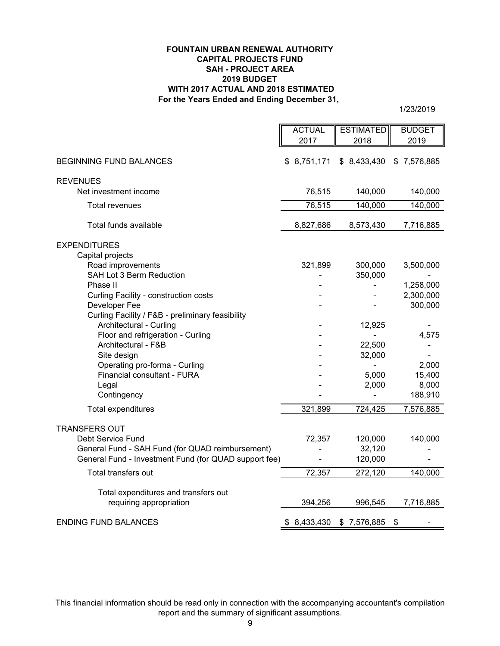#### **For the Years Ended and Ending December 31, FOUNTAIN URBAN RENEWAL AUTHORITY CAPITAL PROJECTS FUND 2019 BUDGET WITH 2017 ACTUAL AND 2018 ESTIMATED SAH - PROJECT AREA**

1/23/2019

|                                                       | <b>ACTUAL</b>  | <b>ESTIMATED</b> | <b>BUDGET</b> |
|-------------------------------------------------------|----------------|------------------|---------------|
|                                                       | 2017           | 2018             | 2019          |
|                                                       |                |                  |               |
| <b>BEGINNING FUND BALANCES</b>                        | \$8,751,171    | \$8,433,430      | \$7,576,885   |
| <b>REVENUES</b>                                       |                |                  |               |
| Net investment income                                 | 76,515         | 140,000          | 140,000       |
|                                                       |                |                  |               |
| Total revenues                                        | 76,515         | 140,000          | 140,000       |
| Total funds available                                 | 8,827,686      | 8,573,430        | 7,716,885     |
| <b>EXPENDITURES</b>                                   |                |                  |               |
| Capital projects                                      |                |                  |               |
| Road improvements                                     | 321,899        | 300,000          | 3,500,000     |
| SAH Lot 3 Berm Reduction                              |                | 350,000          |               |
| Phase II                                              |                |                  | 1,258,000     |
| Curling Facility - construction costs                 |                |                  | 2,300,000     |
| Developer Fee                                         |                |                  | 300,000       |
| Curling Facility / F&B - preliminary feasibility      |                |                  |               |
| Architectural - Curling                               |                | 12,925           |               |
| Floor and refrigeration - Curling                     |                |                  | 4,575         |
| Architectural - F&B                                   |                | 22,500           |               |
| Site design                                           |                | 32,000           |               |
| Operating pro-forma - Curling                         |                |                  | 2,000         |
| Financial consultant - FURA                           |                | 5,000            | 15,400        |
| Legal                                                 |                | 2,000            | 8,000         |
| Contingency                                           |                |                  | 188,910       |
| Total expenditures                                    | 321,899        | 724,425          | 7,576,885     |
|                                                       |                |                  |               |
| <b>TRANSFERS OUT</b>                                  |                |                  |               |
| Debt Service Fund                                     | 72,357         | 120,000          | 140,000       |
| General Fund - SAH Fund (for QUAD reimbursement)      |                | 32,120           |               |
| General Fund - Investment Fund (for QUAD support fee) | $\blacksquare$ | 120,000          |               |
| Total transfers out                                   | 72,357         | 272,120          | 140,000       |
| Total expenditures and transfers out                  |                |                  |               |
| requiring appropriation                               | 394,256        | 996,545          | 7,716,885     |
|                                                       |                |                  |               |
| <b>ENDING FUND BALANCES</b>                           | \$8,433,430    | \$7,576,885      | \$            |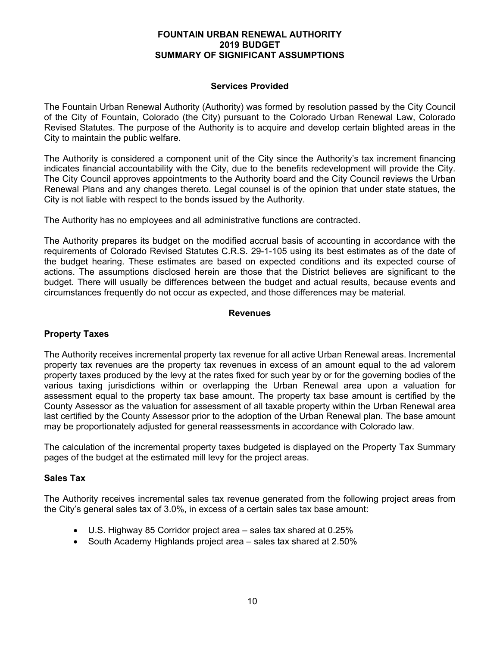# **Services Provided**

The Fountain Urban Renewal Authority (Authority) was formed by resolution passed by the City Council of the City of Fountain, Colorado (the City) pursuant to the Colorado Urban Renewal Law, Colorado Revised Statutes. The purpose of the Authority is to acquire and develop certain blighted areas in the City to maintain the public welfare.

The Authority is considered a component unit of the City since the Authority's tax increment financing indicates financial accountability with the City, due to the benefits redevelopment will provide the City. The City Council approves appointments to the Authority board and the City Council reviews the Urban Renewal Plans and any changes thereto. Legal counsel is of the opinion that under state statues, the City is not liable with respect to the bonds issued by the Authority.

The Authority has no employees and all administrative functions are contracted.

The Authority prepares its budget on the modified accrual basis of accounting in accordance with the requirements of Colorado Revised Statutes C.R.S. 29-1-105 using its best estimates as of the date of the budget hearing. These estimates are based on expected conditions and its expected course of actions. The assumptions disclosed herein are those that the District believes are significant to the budget. There will usually be differences between the budget and actual results, because events and circumstances frequently do not occur as expected, and those differences may be material.

# **Revenues**

# **Property Taxes**

The Authority receives incremental property tax revenue for all active Urban Renewal areas. Incremental property tax revenues are the property tax revenues in excess of an amount equal to the ad valorem property taxes produced by the levy at the rates fixed for such year by or for the governing bodies of the various taxing jurisdictions within or overlapping the Urban Renewal area upon a valuation for assessment equal to the property tax base amount. The property tax base amount is certified by the County Assessor as the valuation for assessment of all taxable property within the Urban Renewal area last certified by the County Assessor prior to the adoption of the Urban Renewal plan. The base amount may be proportionately adjusted for general reassessments in accordance with Colorado law.

The calculation of the incremental property taxes budgeted is displayed on the Property Tax Summary pages of the budget at the estimated mill levy for the project areas.

#### **Sales Tax**

The Authority receives incremental sales tax revenue generated from the following project areas from the City's general sales tax of 3.0%, in excess of a certain sales tax base amount:

- U.S. Highway 85 Corridor project area sales tax shared at 0.25%
- South Academy Highlands project area sales tax shared at 2.50%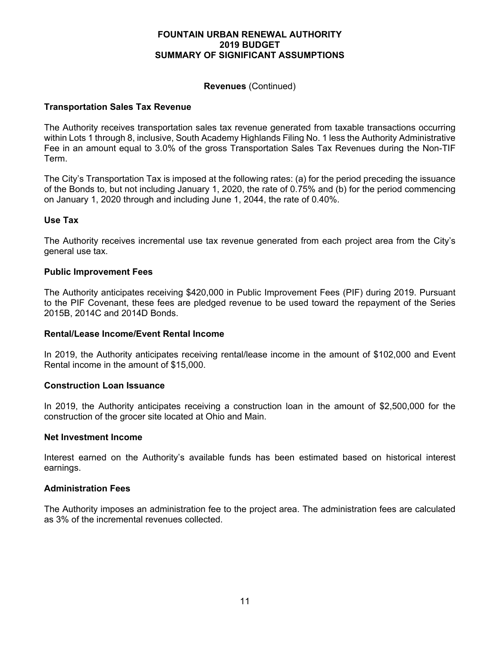### **Revenues** (Continued)

# **Transportation Sales Tax Revenue**

The Authority receives transportation sales tax revenue generated from taxable transactions occurring within Lots 1 through 8, inclusive, South Academy Highlands Filing No. 1 less the Authority Administrative Fee in an amount equal to 3.0% of the gross Transportation Sales Tax Revenues during the Non-TIF Term.

The City's Transportation Tax is imposed at the following rates: (a) for the period preceding the issuance of the Bonds to, but not including January 1, 2020, the rate of 0.75% and (b) for the period commencing on January 1, 2020 through and including June 1, 2044, the rate of 0.40%.

# **Use Tax**

The Authority receives incremental use tax revenue generated from each project area from the City's general use tax.

#### **Public Improvement Fees**

The Authority anticipates receiving \$420,000 in Public Improvement Fees (PIF) during 2019. Pursuant to the PIF Covenant, these fees are pledged revenue to be used toward the repayment of the Series 2015B, 2014C and 2014D Bonds.

#### **Rental/Lease Income/Event Rental Income**

In 2019, the Authority anticipates receiving rental/lease income in the amount of \$102,000 and Event Rental income in the amount of \$15,000.

#### **Construction Loan Issuance**

In 2019, the Authority anticipates receiving a construction loan in the amount of \$2,500,000 for the construction of the grocer site located at Ohio and Main.

#### **Net Investment Income**

Interest earned on the Authority's available funds has been estimated based on historical interest earnings.

#### **Administration Fees**

The Authority imposes an administration fee to the project area. The administration fees are calculated as 3% of the incremental revenues collected.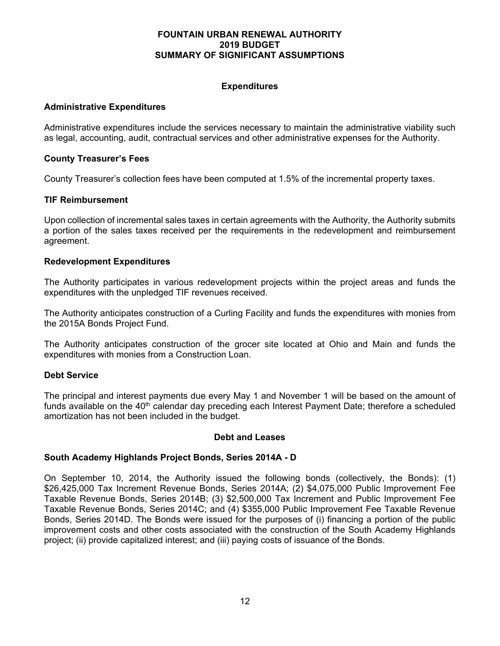# **Expenditures**

# **Administrative Expenditures**

Administrative expenditures include the services necessary to maintain the administrative viability such as legal, accounting, audit, contractual services and other administrative expenses for the Authority.

# **County Treasurer's Fees**

County Treasurer's collection fees have been computed at 1.5% of the incremental property taxes.

# **TIF Reimbursement**

Upon collection of incremental sales taxes in certain agreements with the Authority, the Authority submits a portion of the sales taxes received per the requirements in the redevelopment and reimbursement agreement.

# **Redevelopment Expenditures**

The Authority participates in various redevelopment projects within the project areas and funds the expenditures with the unpledged TIF revenues received.

The Authority anticipates construction of a Curling Facility and funds the expenditures with monies from the 2015A Bonds Project Fund.

The Authority anticipates construction of the grocer site located at Ohio and Main and funds the expenditures with monies from a Construction Loan.

#### **Debt Service**

The principal and interest payments due every May 1 and November 1 will be based on the amount of funds available on the  $40<sup>th</sup>$  calendar day preceding each Interest Payment Date; therefore a scheduled amortization has not been included in the budget.

#### **Debt and Leases**

#### **South Academy Highlands Project Bonds, Series 2014A - D**

On September 10, 2014, the Authority issued the following bonds (collectively, the Bonds): (1) \$26,425,000 Tax Increment Revenue Bonds, Series 2014A; (2) \$4,075,000 Public Improvement Fee Taxable Revenue Bonds, Series 2014B; (3) \$2,500,000 Tax Increment and Public Improvement Fee Taxable Revenue Bonds, Series 2014C; and (4) \$355,000 Public Improvement Fee Taxable Revenue Bonds, Series 2014D. The Bonds were issued for the purposes of (i) financing a portion of the public improvement costs and other costs associated with the construction of the South Academy Highlands project; (ii) provide capitalized interest; and (iii) paying costs of issuance of the Bonds.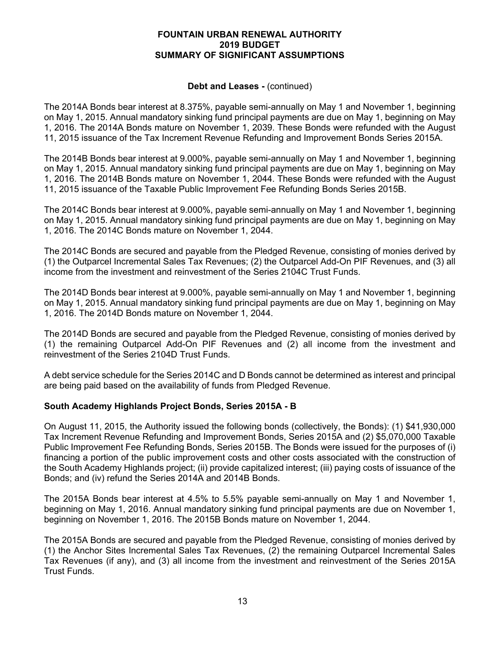#### **Debt and Leases -** (continued)

The 2014A Bonds bear interest at 8.375%, payable semi-annually on May 1 and November 1, beginning on May 1, 2015. Annual mandatory sinking fund principal payments are due on May 1, beginning on May 1, 2016. The 2014A Bonds mature on November 1, 2039. These Bonds were refunded with the August 11, 2015 issuance of the Tax Increment Revenue Refunding and Improvement Bonds Series 2015A.

The 2014B Bonds bear interest at 9.000%, payable semi-annually on May 1 and November 1, beginning on May 1, 2015. Annual mandatory sinking fund principal payments are due on May 1, beginning on May 1, 2016. The 2014B Bonds mature on November 1, 2044. These Bonds were refunded with the August 11, 2015 issuance of the Taxable Public Improvement Fee Refunding Bonds Series 2015B.

The 2014C Bonds bear interest at 9.000%, payable semi-annually on May 1 and November 1, beginning on May 1, 2015. Annual mandatory sinking fund principal payments are due on May 1, beginning on May 1, 2016. The 2014C Bonds mature on November 1, 2044.

The 2014C Bonds are secured and payable from the Pledged Revenue, consisting of monies derived by (1) the Outparcel Incremental Sales Tax Revenues; (2) the Outparcel Add-On PIF Revenues, and (3) all income from the investment and reinvestment of the Series 2104C Trust Funds.

The 2014D Bonds bear interest at 9.000%, payable semi-annually on May 1 and November 1, beginning on May 1, 2015. Annual mandatory sinking fund principal payments are due on May 1, beginning on May 1, 2016. The 2014D Bonds mature on November 1, 2044.

The 2014D Bonds are secured and payable from the Pledged Revenue, consisting of monies derived by (1) the remaining Outparcel Add-On PIF Revenues and (2) all income from the investment and reinvestment of the Series 2104D Trust Funds.

A debt service schedule for the Series 2014C and D Bonds cannot be determined as interest and principal are being paid based on the availability of funds from Pledged Revenue.

# **South Academy Highlands Project Bonds, Series 2015A - B**

On August 11, 2015, the Authority issued the following bonds (collectively, the Bonds): (1) \$41,930,000 Tax Increment Revenue Refunding and Improvement Bonds, Series 2015A and (2) \$5,070,000 Taxable Public Improvement Fee Refunding Bonds, Series 2015B. The Bonds were issued for the purposes of (i) financing a portion of the public improvement costs and other costs associated with the construction of the South Academy Highlands project; (ii) provide capitalized interest; (iii) paying costs of issuance of the Bonds; and (iv) refund the Series 2014A and 2014B Bonds.

The 2015A Bonds bear interest at 4.5% to 5.5% payable semi-annually on May 1 and November 1, beginning on May 1, 2016. Annual mandatory sinking fund principal payments are due on November 1, beginning on November 1, 2016. The 2015B Bonds mature on November 1, 2044.

The 2015A Bonds are secured and payable from the Pledged Revenue, consisting of monies derived by (1) the Anchor Sites Incremental Sales Tax Revenues, (2) the remaining Outparcel Incremental Sales Tax Revenues (if any), and (3) all income from the investment and reinvestment of the Series 2015A Trust Funds.